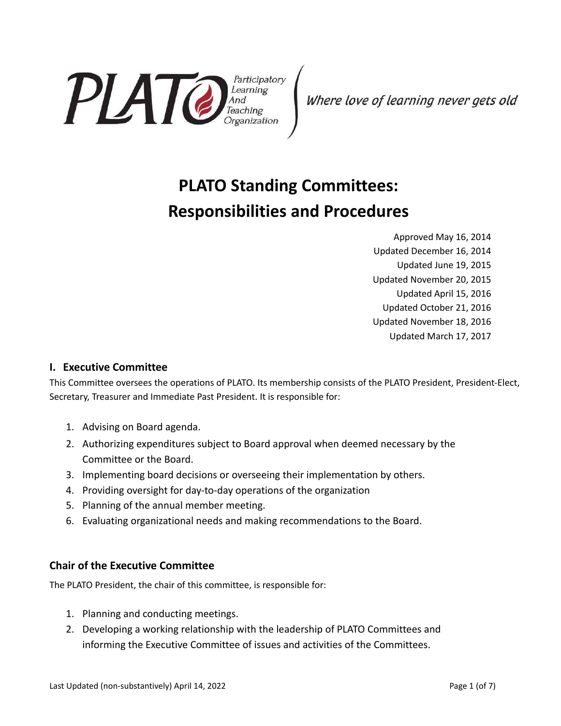

Where love of learning never gets old

# **PLATO Standing Committees: Responsibilities and Procedures**

Approved May 16, 2014 Updated December 16, 2014 Updated June 19, 2015 Updated November 20, 2015 Updated April 15, 2016 Updated October 21, 2016 Updated November 18, 2016 Updated March 17, 2017

## **I. Executive Committee**

This Committee oversees the operations of PLATO. Its membership consists of the PLATO President, President-Elect, Secretary, Treasurer and Immediate Past President. It is responsible for:

- 1. Advising on Board agenda.
- 2. Authorizing expenditures subject to Board approval when deemed necessary by the Committee or the Board.
- 3. Implementing board decisions or overseeing their implementation by others.
- 4. Providing oversight for day-to-day operations of the organization
- 5. Planning of the annual member meeting.
- 6. Evaluating organizational needs and making recommendations to the Board.

## **Chair of the Executive Committee**

The PLATO President, the chair of this committee, is responsible for:

- 1. Planning and conducting meetings.
- 2. Developing a working relationship with the leadership of PLATO Committees and informing the Executive Committee of issues and activities of the Committees.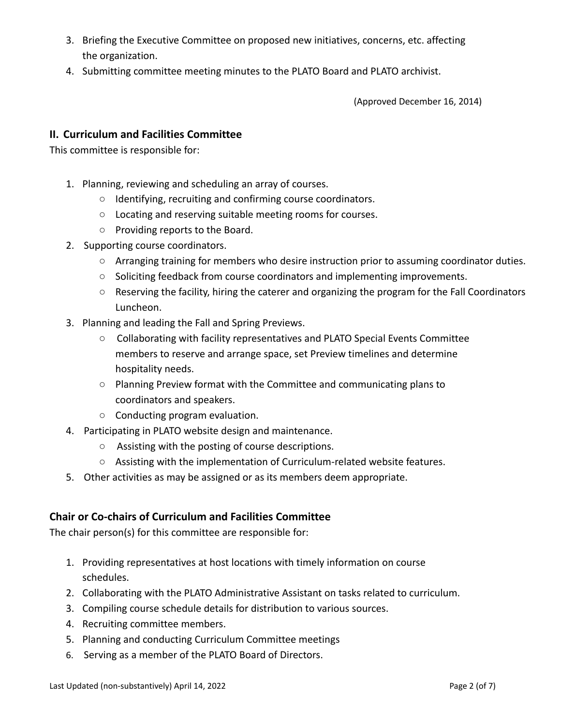- 3. Briefing the Executive Committee on proposed new initiatives, concerns, etc. affecting the organization.
- 4. Submitting committee meeting minutes to the PLATO Board and PLATO archivist.

(Approved December 16, 2014)

### **II. Curriculum and Facilities Committee**

This committee is responsible for:

- 1. Planning, reviewing and scheduling an array of courses.
	- Identifying, recruiting and confirming course coordinators.
	- Locating and reserving suitable meeting rooms for courses.
	- Providing reports to the Board.
- 2. Supporting course coordinators.
	- Arranging training for members who desire instruction prior to assuming coordinator duties.
	- Soliciting feedback from course coordinators and implementing improvements.
	- Reserving the facility, hiring the caterer and organizing the program for the Fall Coordinators Luncheon.
- 3. Planning and leading the Fall and Spring Previews.
	- Collaborating with facility representatives and PLATO Special Events Committee members to reserve and arrange space, set Preview timelines and determine hospitality needs.
	- Planning Preview format with the Committee and communicating plans to coordinators and speakers.
	- Conducting program evaluation.
- 4. Participating in PLATO website design and maintenance.
	- Assisting with the posting of course descriptions.
	- Assisting with the implementation of Curriculum-related website features.
- 5. Other activities as may be assigned or as its members deem appropriate.

## **Chair or Co-chairs of Curriculum and Facilities Committee**

The chair person(s) for this committee are responsible for:

- 1. Providing representatives at host locations with timely information on course schedules.
- 2. Collaborating with the PLATO Administrative Assistant on tasks related to curriculum.
- 3. Compiling course schedule details for distribution to various sources.
- 4. Recruiting committee members.
- 5. Planning and conducting Curriculum Committee meetings
- 6. Serving as a member of the PLATO Board of Directors.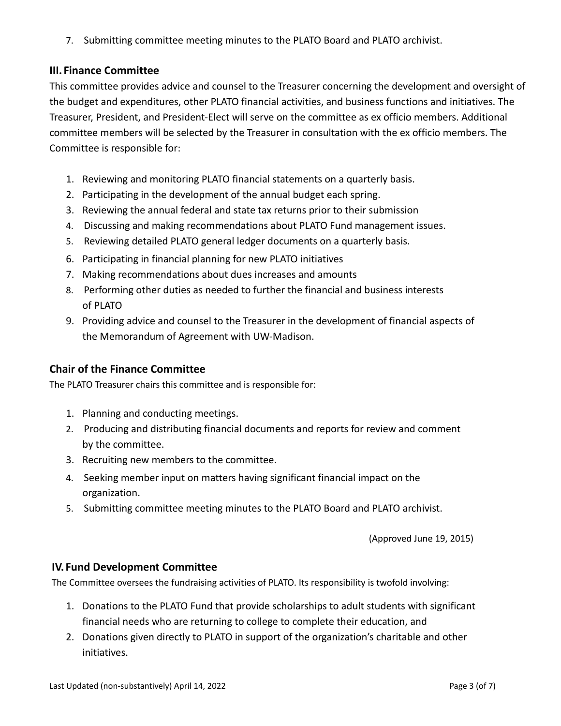7. Submitting committee meeting minutes to the PLATO Board and PLATO archivist.

## **III. Finance Committee**

This committee provides advice and counsel to the Treasurer concerning the development and oversight of the budget and expenditures, other PLATO financial activities, and business functions and initiatives. The Treasurer, President, and President-Elect will serve on the committee as ex officio members. Additional committee members will be selected by the Treasurer in consultation with the ex officio members. The Committee is responsible for:

- 1. Reviewing and monitoring PLATO financial statements on a quarterly basis.
- 2. Participating in the development of the annual budget each spring.
- 3. Reviewing the annual federal and state tax returns prior to their submission
- 4. Discussing and making recommendations about PLATO Fund management issues.
- 5. Reviewing detailed PLATO general ledger documents on a quarterly basis.
- 6. Participating in financial planning for new PLATO initiatives
- 7. Making recommendations about dues increases and amounts
- 8. Performing other duties as needed to further the financial and business interests of PLATO
- 9. Providing advice and counsel to the Treasurer in the development of financial aspects of the Memorandum of Agreement with UW-Madison.

## **Chair of the Finance Committee**

The PLATO Treasurer chairs this committee and is responsible for:

- 1. Planning and conducting meetings.
- 2. Producing and distributing financial documents and reports for review and comment by the committee.
- 3. Recruiting new members to the committee.
- 4. Seeking member input on matters having significant financial impact on the organization.
- 5. Submitting committee meeting minutes to the PLATO Board and PLATO archivist.

(Approved June 19, 2015)

## **IV. Fund Development Committee**

The Committee oversees the fundraising activities of PLATO. Its responsibility is twofold involving:

- 1. Donations to the PLATO Fund that provide scholarships to adult students with significant financial needs who are returning to college to complete their education, and
- 2. Donations given directly to PLATO in support of the organization's charitable and other initiatives.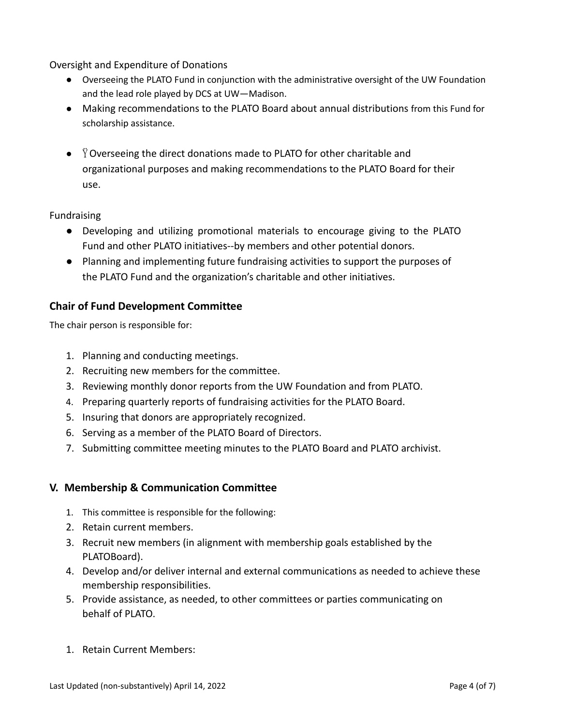Oversight and Expenditure of Donations

- Overseeing the PLATO Fund in conjunction with the administrative oversight of the UW Foundation and the lead role played by DCS at UW—Madison.
- Making recommendations to the PLATO Board about annual distributions from this Fund for scholarship assistance.
- $\bullet$   $\ddot{Y}$  Overseeing the direct donations made to PLATO for other charitable and organizational purposes and making recommendations to the PLATO Board for their use.

#### Fundraising

- Developing and utilizing promotional materials to encourage giving to the PLATO Fund and other PLATO initiatives--by members and other potential donors.
- Planning and implementing future fundraising activities to support the purposes of the PLATO Fund and the organization's charitable and other initiatives.

## **Chair of Fund Development Committee**

The chair person is responsible for:

- 1. Planning and conducting meetings.
- 2. Recruiting new members for the committee.
- 3. Reviewing monthly donor reports from the UW Foundation and from PLATO.
- 4. Preparing quarterly reports of fundraising activities for the PLATO Board.
- 5. Insuring that donors are appropriately recognized.
- 6. Serving as a member of the PLATO Board of Directors.
- 7. Submitting committee meeting minutes to the PLATO Board and PLATO archivist.

## **V. Membership & Communication Committee**

- 1. This committee is responsible for the following:
- 2. Retain current members.
- 3. Recruit new members (in alignment with membership goals established by the PLATOBoard).
- 4. Develop and/or deliver internal and external communications as needed to achieve these membership responsibilities.
- 5. Provide assistance, as needed, to other committees or parties communicating on behalf of PLATO.
- 1. Retain Current Members: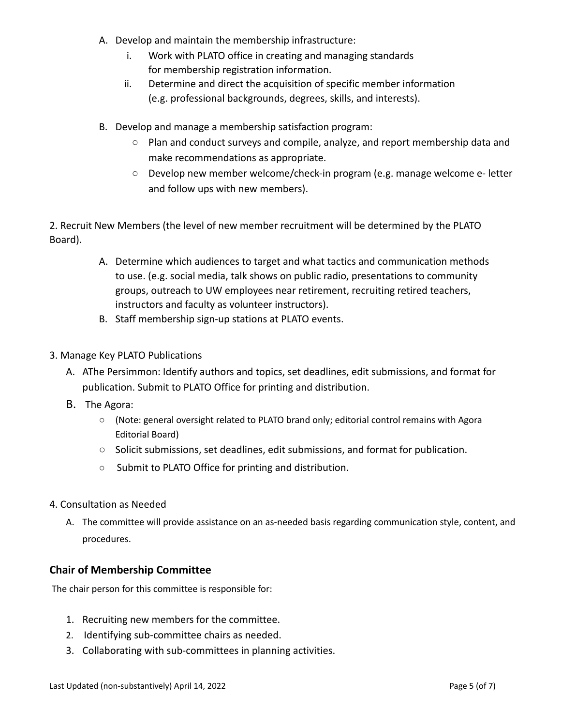- A. Develop and maintain the membership infrastructure:
	- i. Work with PLATO office in creating and managing standards for membership registration information.
	- ii. Determine and direct the acquisition of specific member information (e.g. professional backgrounds, degrees, skills, and interests).
- B. Develop and manage a membership satisfaction program:
	- Plan and conduct surveys and compile, analyze, and report membership data and make recommendations as appropriate.
	- $\circ$  Develop new member welcome/check-in program (e.g. manage welcome e-letter and follow ups with new members).

2. Recruit New Members (the level of new member recruitment will be determined by the PLATO Board).

- A. Determine which audiences to target and what tactics and communication methods to use. (e.g. social media, talk shows on public radio, presentations to community groups, outreach to UW employees near retirement, recruiting retired teachers, instructors and faculty as volunteer instructors).
- B. Staff membership sign-up stations at PLATO events.
- 3. Manage Key PLATO Publications
	- A. AThe Persimmon: Identify authors and topics, set deadlines, edit submissions, and format for publication. Submit to PLATO Office for printing and distribution.
	- B. The Agora:
		- (Note: general oversight related to PLATO brand only; editorial control remains with Agora Editorial Board)
		- Solicit submissions, set deadlines, edit submissions, and format for publication.
		- Submit to PLATO Office for printing and distribution.
- 4. Consultation as Needed
	- A. The committee will provide assistance on an as-needed basis regarding communication style, content, and procedures.

#### **Chair of Membership Committee**

The chair person for this committee is responsible for:

- 1. Recruiting new members for the committee.
- 2. Identifying sub-committee chairs as needed.
- 3. Collaborating with sub-committees in planning activities.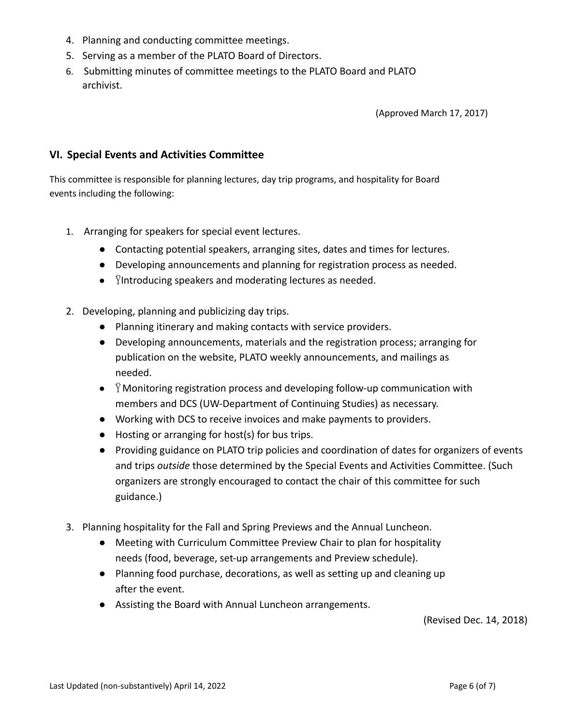- 4. Planning and conducting committee meetings.
- 5. Serving as a member of the PLATO Board of Directors.
- 6. Submitting minutes of committee meetings to the PLATO Board and PLATO archivist.

(Approved March 17, 2017)

#### **VI. Special Events and Activities Committee**

This committee is responsible for planning lectures, day trip programs, and hospitality for Board events including the following:

- 1. Arranging for speakers for special event lectures.
	- Contacting potential speakers, arranging sites, dates and times for lectures.
	- Developing announcements and planning for registration process as needed.
	- $\bullet$  Yintroducing speakers and moderating lectures as needed.
- 2. Developing, planning and publicizing day trips.
	- Planning itinerary and making contacts with service providers.
	- Developing announcements, materials and the registration process; arranging for publication on the website, PLATO weekly announcements, and mailings as needed.
	- $\bullet$   $\dot{Y}$  Monitoring registration process and developing follow-up communication with members and DCS (UW-Department of Continuing Studies) as necessary.
	- Working with DCS to receive invoices and make payments to providers.
	- Hosting or arranging for host(s) for bus trips.
	- Providing guidance on PLATO trip policies and coordination of dates for organizers of events and trips *outside* those determined by the Special Events and Activities Committee. (Such organizers are strongly encouraged to contact the chair of this committee for such guidance.)
- 3. Planning hospitality for the Fall and Spring Previews and the Annual Luncheon.
	- Meeting with Curriculum Committee Preview Chair to plan for hospitality needs (food, beverage, set-up arrangements and Preview schedule).
	- Planning food purchase, decorations, as well as setting up and cleaning up after the event.
	- Assisting the Board with Annual Luncheon arrangements.

(Revised Dec. 14, 2018)